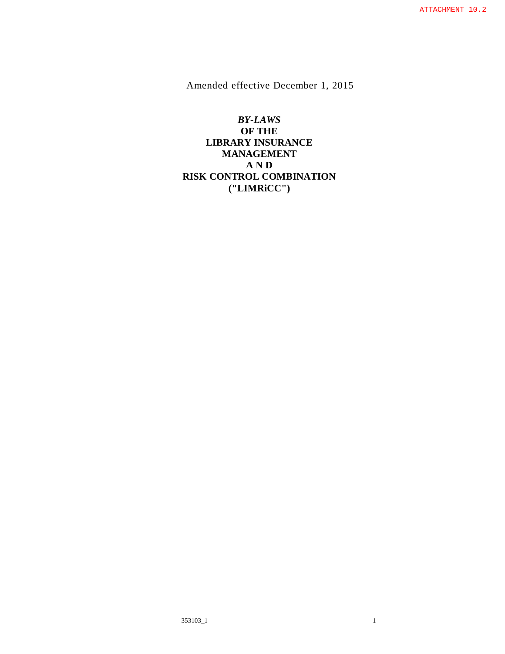Amended effective December 1, 2015

*BY-LAWS*  **OF THE LIBRARY INSURANCE MANAGEMENT A N D RISK CONTROL COMBINATION ("LIMRiCC")**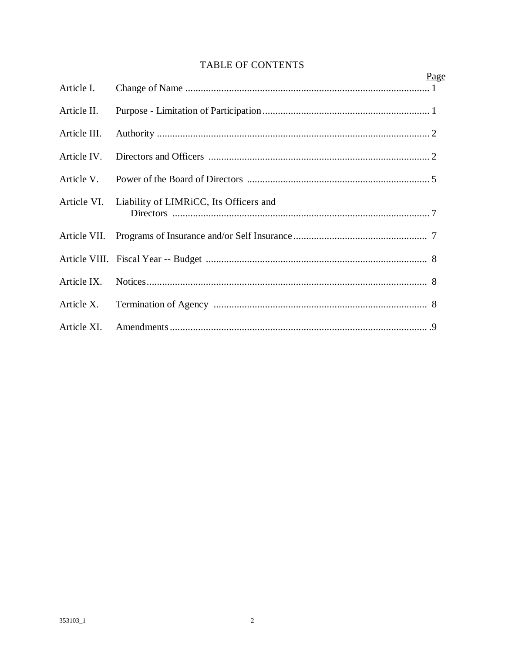# **TABLE OF CONTENTS**

|              | Page                                   |  |
|--------------|----------------------------------------|--|
| Article I.   |                                        |  |
| Article II.  |                                        |  |
| Article III. |                                        |  |
| Article IV.  |                                        |  |
| Article V.   |                                        |  |
| Article VI.  | Liability of LIMRICC, Its Officers and |  |
|              |                                        |  |
|              |                                        |  |
| Article IX.  |                                        |  |
| Article X.   |                                        |  |
| Article XI.  |                                        |  |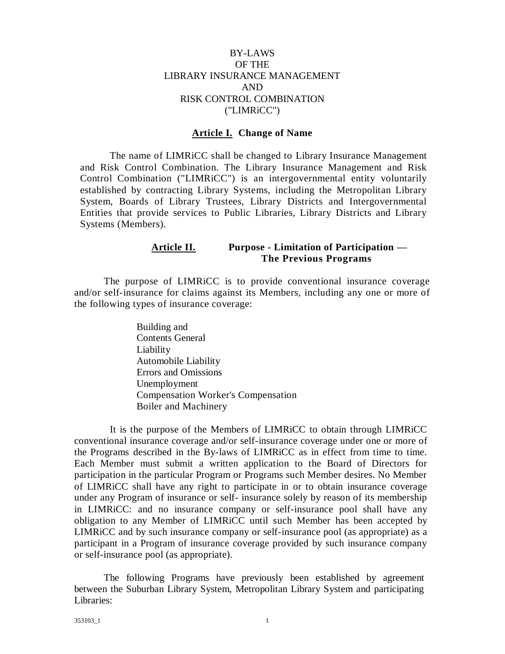# BY-LAWS OF THE LIBRARY INSURANCE MANAGEMENT AND RISK CONTROL COMBINATION ("LIMRiCC")

#### **Article I. Change of Name**

The name of LIMRiCC shall be changed to Library Insurance Management and Risk Control Combination. The Library Insurance Management and Risk Control Combination ("LIMRiCC") is an intergovernmental entity voluntarily established by contracting Library Systems, including the Metropolitan Library System, Boards of Library Trustees, Library Districts and Intergovernmental Entities that provide services to Public Libraries, Library Districts and Library Systems (Members).

# **Article II. Purpose - Limitation of Participation — The Previous Programs**

The purpose of LIMRiCC is to provide conventional insurance coverage and/or self-insurance for claims against its Members, including any one or more of the following types of insurance coverage:

> Building and Contents General Liability Automobile Liability Errors and Omissions Unemployment Compensation Worker's Compensation Boiler and Machinery

It is the purpose of the Members of LIMRiCC to obtain through LIMRiCC conventional insurance coverage and/or self-insurance coverage under one or more of the Programs described in the By-laws of LIMRiCC as in effect from time to time. Each Member must submit a written application to the Board of Directors for participation in the particular Program or Programs such Member desires. No Member of LIMRiCC shall have any right to participate in or to obtain insurance coverage under any Program of insurance or self- insurance solely by reason of its membership in LIMRiCC: and no insurance company or self-insurance pool shall have any obligation to any Member of LIMRiCC until such Member has been accepted by LIMRiCC and by such insurance company or self-insurance pool (as appropriate) as a participant in a Program of insurance coverage provided by such insurance company or self-insurance pool (as appropriate).

The following Programs have previously been established by agreement between the Suburban Library System, Metropolitan Library System and participating Libraries: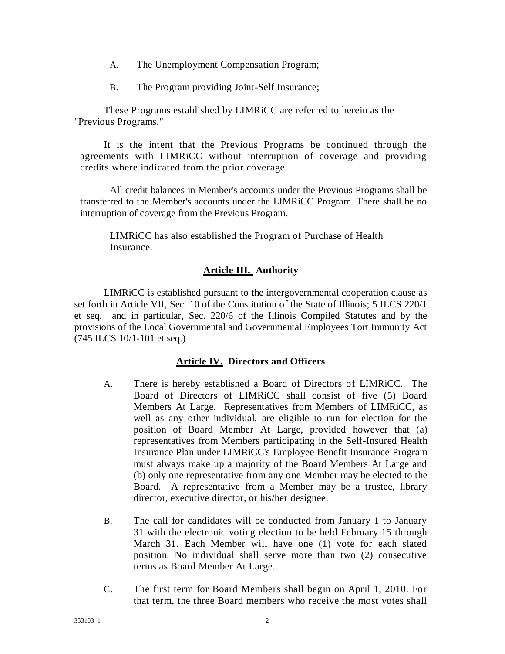- A. The Unemployment Compensation Program;
- B. The Program providing Joint-Self Insurance;

These Programs established by LIMRiCC are referred to herein as the "Previous Programs."

It is the intent that the Previous Programs be continued through the agreements with LIMRiCC without interruption of coverage and providing credits where indicated from the prior coverage.

All credit balances in Member's accounts under the Previous Programs shall be transferred to the Member's accounts under the LIMRiCC Program. There shall be no interruption of coverage from the Previous Program.

LIMRiCC has also established the Program of Purchase of Health Insurance.

# **Article III. Authority**

LIMRiCC is established pursuant to the intergovernmental cooperation clause as set forth in Article VII, Sec. 10 of the Constitution of the State of Illinois; 5 ILCS 220/1 et seq. and in particular, Sec. 220/6 of the Illinois Compiled Statutes and by the provisions of the Local Governmental and Governmental Employees Tort Immunity Act (745 ILCS 10/1-101 et seq.)

# **Article IV. Directors and Officers**

- A. There is hereby established a Board of Directors of LIMRiCC. The Board of Directors of LIMRiCC shall consist of five (5) Board Members At Large. Representatives from Members of LIMRiCC, as well as any other individual, are eligible to run for election for the position of Board Member At Large, provided however that (a) representatives from Members participating in the Self-Insured Health Insurance Plan under LIMRiCC's Employee Benefit Insurance Program must always make up a majority of the Board Members At Large and (b) only one representative from any one Member may be elected to the Board. A representative from a Member may be a trustee, library director, executive director, or his/her designee.
- B. The call for candidates will be conducted from January 1 to January 31 with the electronic voting election to be held February 15 through March 31. Each Member will have one (1) vote for each slated position. No individual shall serve more than two (2) consecutive terms as Board Member At Large.
- C. The first term for Board Members shall begin on April 1, 2010. For that term, the three Board members who receive the most votes shall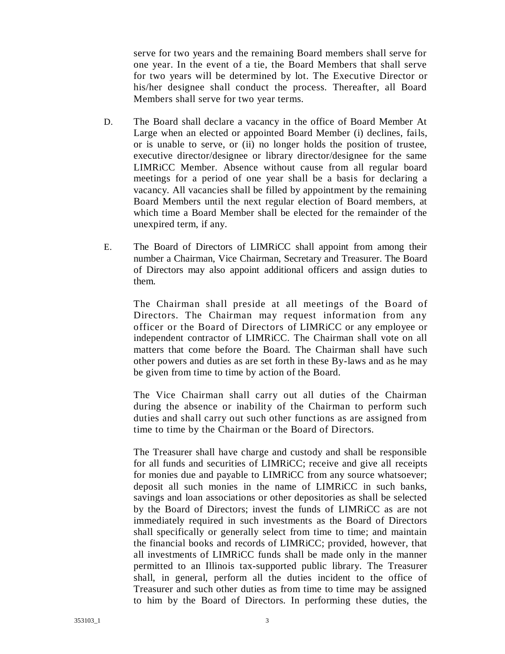serve for two years and the remaining Board members shall serve for one year. In the event of a tie, the Board Members that shall serve for two years will be determined by lot. The Executive Director or his/her designee shall conduct the process. Thereafter, all Board Members shall serve for two year terms.

- D. The Board shall declare a vacancy in the office of Board Member At Large when an elected or appointed Board Member (i) declines, fails, or is unable to serve, or (ii) no longer holds the position of trustee, executive director/designee or library director/designee for the same LIMRiCC Member. Absence without cause from all regular board meetings for a period of one year shall be a basis for declaring a vacancy. All vacancies shall be filled by appointment by the remaining Board Members until the next regular election of Board members, at which time a Board Member shall be elected for the remainder of the unexpired term, if any.
- E. The Board of Directors of LIMRiCC shall appoint from among their number a Chairman, Vice Chairman, Secretary and Treasurer. The Board of Directors may also appoint additional officers and assign duties to them.

The Chairman shall preside at all meetings of the Board of Directors. The Chairman may request information from any officer or the Board of Directors of LIMRiCC or any employee or independent contractor of LIMRiCC. The Chairman shall vote on all matters that come before the Board. The Chairman shall have such other powers and duties as are set forth in these By-laws and as he may be given from time to time by action of the Board.

The Vice Chairman shall carry out all duties of the Chairman during the absence or inability of the Chairman to perform such duties and shall carry out such other functions as are assigned from time to time by the Chairman or the Board of Directors.

The Treasurer shall have charge and custody and shall be responsible for all funds and securities of LIMRiCC; receive and give all receipts for monies due and payable to LIMRiCC from any source whatsoever; deposit all such monies in the name of LIMRiCC in such banks, savings and loan associations or other depositories as shall be selected by the Board of Directors; invest the funds of LIMRiCC as are not immediately required in such investments as the Board of Directors shall specifically or generally select from time to time; and maintain the financial books and records of LIMRiCC; provided, however, that all investments of LIMRiCC funds shall be made only in the manner permitted to an Illinois tax-supported public library. The Treasurer shall, in general, perform all the duties incident to the office of Treasurer and such other duties as from time to time may be assigned to him by the Board of Directors. In performing these duties, the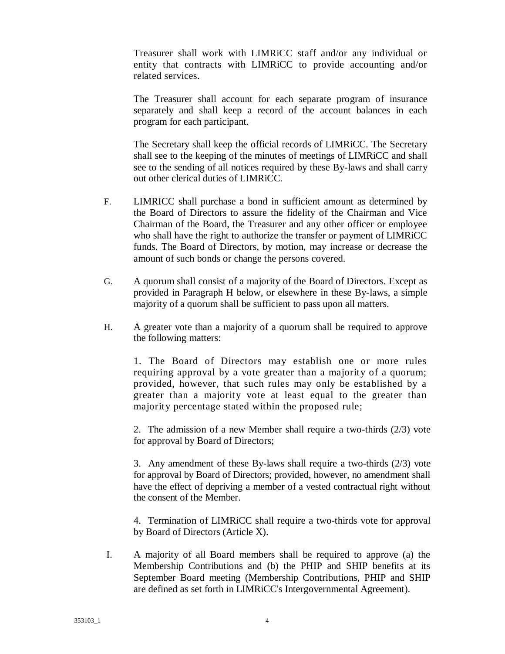Treasurer shall work with LIMRiCC staff and/or any individual or entity that contracts with LIMRiCC to provide accounting and/or related services.

The Treasurer shall account for each separate program of insurance separately and shall keep a record of the account balances in each program for each participant.

The Secretary shall keep the official records of LIMRiCC. The Secretary shall see to the keeping of the minutes of meetings of LIMRiCC and shall see to the sending of all notices required by these By-laws and shall carry out other clerical duties of LIMRiCC.

- F. LIMRICC shall purchase a bond in sufficient amount as determined by the Board of Directors to assure the fidelity of the Chairman and Vice Chairman of the Board, the Treasurer and any other officer or employee who shall have the right to authorize the transfer or payment of LIMRiCC funds. The Board of Directors, by motion, may increase or decrease the amount of such bonds or change the persons covered.
- G. A quorum shall consist of a majority of the Board of Directors. Except as provided in Paragraph H below, or elsewhere in these By-laws, a simple majority of a quorum shall be sufficient to pass upon all matters.
- H. A greater vote than a majority of a quorum shall be required to approve the following matters:

1. The Board of Directors may establish one or more rules requiring approval by a vote greater than a majority of a quorum; provided, however, that such rules may only be established by a greater than a majority vote at least equal to the greater than majority percentage stated within the proposed rule;

2. The admission of a new Member shall require a two-thirds (2/3) vote for approval by Board of Directors;

3. Any amendment of these By-laws shall require a two-thirds (2/3) vote for approval by Board of Directors; provided, however, no amendment shall have the effect of depriving a member of a vested contractual right without the consent of the Member.

4. Termination of LIMRiCC shall require a two-thirds vote for approval by Board of Directors (Article X).

I. A majority of all Board members shall be required to approve (a) the Membership Contributions and (b) the PHIP and SHIP benefits at its September Board meeting (Membership Contributions, PHIP and SHIP are defined as set forth in LIMRiCC's Intergovernmental Agreement).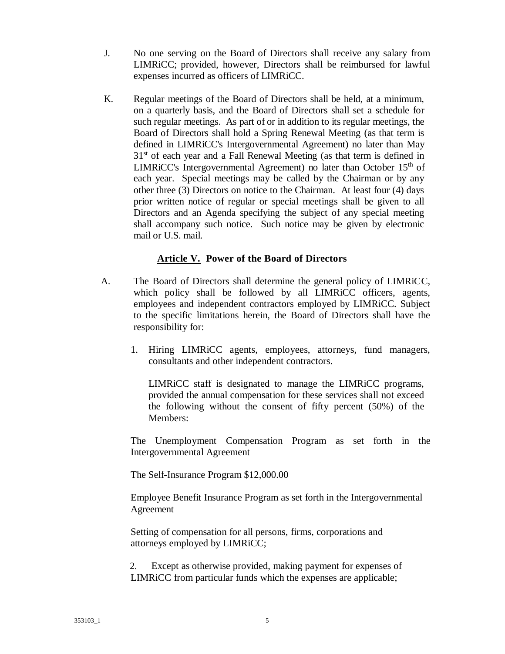- J. No one serving on the Board of Directors shall receive any salary from LIMRiCC; provided, however, Directors shall be reimbursed for lawful expenses incurred as officers of LIMRiCC.
- K. Regular meetings of the Board of Directors shall be held, at a minimum, on a quarterly basis, and the Board of Directors shall set a schedule for such regular meetings. As part of or in addition to its regular meetings, the Board of Directors shall hold a Spring Renewal Meeting (as that term is defined in LIMRiCC's Intergovernmental Agreement) no later than May  $31<sup>st</sup>$  of each year and a Fall Renewal Meeting (as that term is defined in LIMRICC's Intergovernmental Agreement) no later than October  $15<sup>th</sup>$  of each year. Special meetings may be called by the Chairman or by any other three (3) Directors on notice to the Chairman. At least four (4) days prior written notice of regular or special meetings shall be given to all Directors and an Agenda specifying the subject of any special meeting shall accompany such notice. Such notice may be given by electronic mail or U.S. mail.

# **Article V. Power of the Board of Directors**

- A. The Board of Directors shall determine the general policy of LIMRiCC, which policy shall be followed by all LIMRICC officers, agents, employees and independent contractors employed by LIMRiCC. Subject to the specific limitations herein, the Board of Directors shall have the responsibility for:
	- 1. Hiring LIMRiCC agents, employees, attorneys, fund managers, consultants and other independent contractors.

LIMRiCC staff is designated to manage the LIMRiCC programs, provided the annual compensation for these services shall not exceed the following without the consent of fifty percent (50%) of the Members:

The Unemployment Compensation Program as set forth in the Intergovernmental Agreement

The Self-Insurance Program \$12,000.00

Employee Benefit Insurance Program as set forth in the Intergovernmental Agreement

Setting of compensation for all persons, firms, corporations and attorneys employed by LIMRiCC;

2. Except as otherwise provided, making payment for expenses of LIMRiCC from particular funds which the expenses are applicable;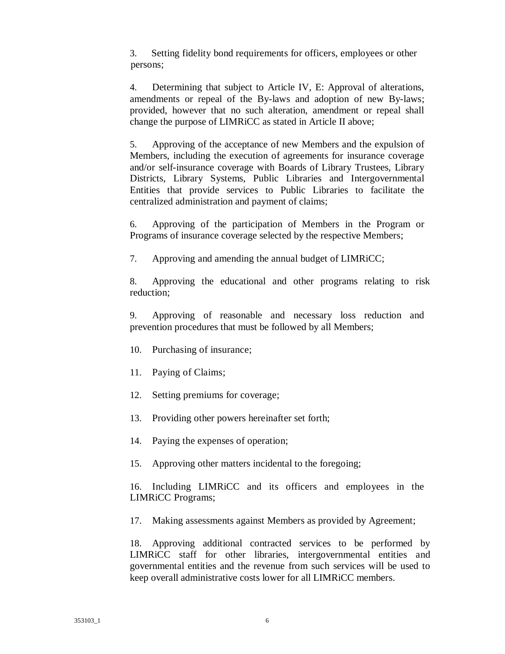3. Setting fidelity bond requirements for officers, employees or other persons;

4. Determining that subject to Article IV, E: Approval of alterations, amendments or repeal of the By-laws and adoption of new By-laws; provided, however that no such alteration, amendment or repeal shall change the purpose of LIMRiCC as stated in Article II above;

5. Approving of the acceptance of new Members and the expulsion of Members, including the execution of agreements for insurance coverage and/or self-insurance coverage with Boards of Library Trustees, Library Districts, Library Systems, Public Libraries and Intergovernmental Entities that provide services to Public Libraries to facilitate the centralized administration and payment of claims;

6. Approving of the participation of Members in the Program or Programs of insurance coverage selected by the respective Members;

7. Approving and amending the annual budget of LIMRiCC;

8. Approving the educational and other programs relating to risk reduction;

9. Approving of reasonable and necessary loss reduction and prevention procedures that must be followed by all Members;

- 10. Purchasing of insurance;
- 11. Paying of Claims;
- 12. Setting premiums for coverage;
- 13. Providing other powers hereinafter set forth;
- 14. Paying the expenses of operation;
- 15. Approving other matters incidental to the foregoing;

16. Including LIMRiCC and its officers and employees in the LIMRiCC Programs;

17. Making assessments against Members as provided by Agreement;

18. Approving additional contracted services to be performed by LIMRiCC staff for other libraries, intergovernmental entities and governmental entities and the revenue from such services will be used to keep overall administrative costs lower for all LIMRiCC members.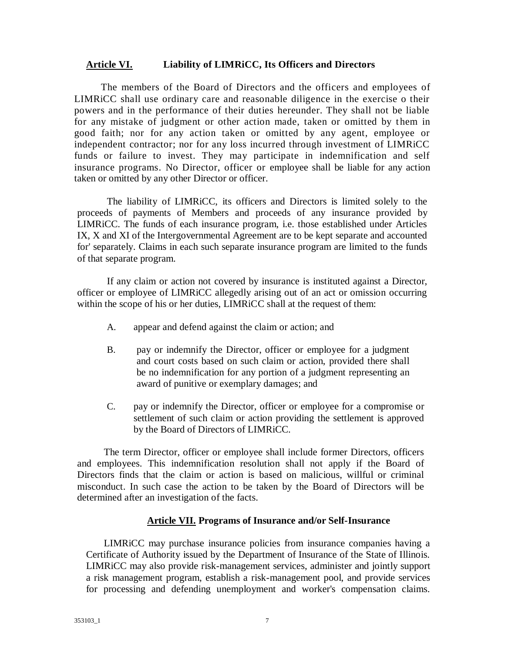#### **Article VI. Liability of LIMRiCC, Its Officers and Directors**

The members of the Board of Directors and the officers and employees of LIMRiCC shall use ordinary care and reasonable diligence in the exercise o their powers and in the performance of their duties hereunder. They shall not be liable for any mistake of judgment or other action made, taken or omitted by them in good faith; nor for any action taken or omitted by any agent, employee or independent contractor; nor for any loss incurred through investment of LIMRiCC funds or failure to invest. They may participate in indemnification and self insurance programs. No Director, officer or employee shall be liable for any action taken or omitted by any other Director or officer.

The liability of LIMRiCC, its officers and Directors is limited solely to the proceeds of payments of Members and proceeds of any insurance provided by LIMRiCC. The funds of each insurance program, i.e. those established under Articles IX, X and XI of the Intergovernmental Agreement are to be kept separate and accounted for' separately. Claims in each such separate insurance program are limited to the funds of that separate program.

If any claim or action not covered by insurance is instituted against a Director, officer or employee of LIMRiCC allegedly arising out of an act or omission occurring within the scope of his or her duties, LIMRiCC shall at the request of them:

- A. appear and defend against the claim or action; and
- B. pay or indemnify the Director, officer or employee for a judgment and court costs based on such claim or action, provided there shall be no indemnification for any portion of a judgment representing an award of punitive or exemplary damages; and
- C. pay or indemnify the Director, officer or employee for a compromise or settlement of such claim or action providing the settlement is approved by the Board of Directors of LIMRiCC.

The term Director, officer or employee shall include former Directors, officers and employees. This indemnification resolution shall not apply if the Board of Directors finds that the claim or action is based on malicious, willful or criminal misconduct. In such case the action to be taken by the Board of Directors will be determined after an investigation of the facts.

#### **Article VII. Programs of Insurance and/or Self-Insurance**

LIMRiCC may purchase insurance policies from insurance companies having a Certificate of Authority issued by the Department of Insurance of the State of Illinois. LIMRiCC may also provide risk-management services, administer and jointly support a risk management program, establish a risk-management pool, and provide services for processing and defending unemployment and worker's compensation claims.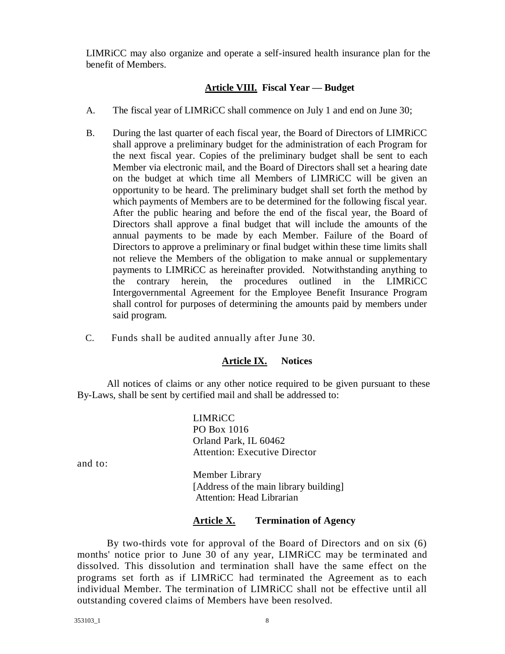LIMRiCC may also organize and operate a self-insured health insurance plan for the benefit of Members.

# **Article VIII. Fiscal Year — Budget**

- A. The fiscal year of LIMRiCC shall commence on July 1 and end on June 30;
- B. During the last quarter of each fiscal year, the Board of Directors of LIMRiCC shall approve a preliminary budget for the administration of each Program for the next fiscal year. Copies of the preliminary budget shall be sent to each Member via electronic mail, and the Board of Directors shall set a hearing date on the budget at which time all Members of LIMRiCC will be given an opportunity to be heard. The preliminary budget shall set forth the method by which payments of Members are to be determined for the following fiscal year. After the public hearing and before the end of the fiscal year, the Board of Directors shall approve a final budget that will include the amounts of the annual payments to be made by each Member. Failure of the Board of Directors to approve a preliminary or final budget within these time limits shall not relieve the Members of the obligation to make annual or supplementary payments to LIMRiCC as hereinafter provided. Notwithstanding anything to the contrary herein, the procedures outlined in the LIMRiCC Intergovernmental Agreement for the Employee Benefit Insurance Program shall control for purposes of determining the amounts paid by members under said program.
- C. Funds shall be audited annually after June 30.

# **Article IX. Notices**

All notices of claims or any other notice required to be given pursuant to these By-Laws, shall be sent by certified mail and shall be addressed to:

> LIMRiCC PO Box 1016 Orland Park, IL 60462 Attention: Executive Director

and to:

Member Library [Address of the main library building] Attention: Head Librarian

# **Article X. Termination of Agency**

By two-thirds vote for approval of the Board of Directors and on six (6) months' notice prior to June 30 of any year, LIMRiCC may be terminated and dissolved. This dissolution and termination shall have the same effect on the programs set forth as if LIMRiCC had terminated the Agreement as to each individual Member. The termination of LIMRiCC shall not be effective until all outstanding covered claims of Members have been resolved.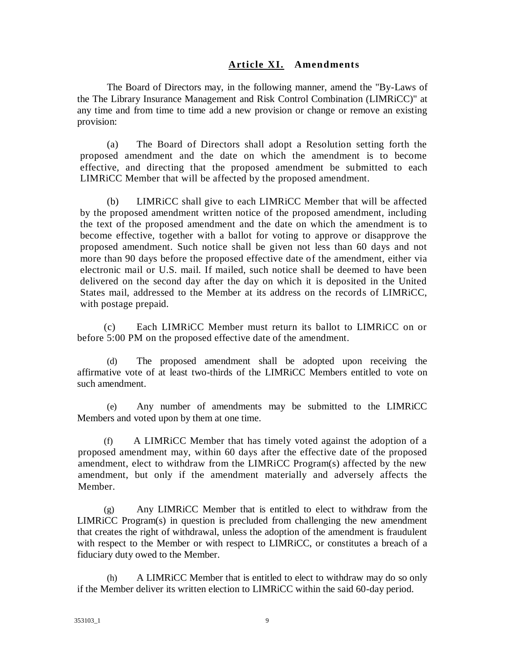# **Article XI. Amendments**

The Board of Directors may, in the following manner, amend the "By-Laws of the The Library Insurance Management and Risk Control Combination (LIMRiCC)" at any time and from time to time add a new provision or change or remove an existing provision:

(a) The Board of Directors shall adopt a Resolution setting forth the proposed amendment and the date on which the amendment is to become effective, and directing that the proposed amendment be submitted to each LIMRiCC Member that will be affected by the proposed amendment.

(b) LIMRiCC shall give to each LIMRiCC Member that will be affected by the proposed amendment written notice of the proposed amendment, including the text of the proposed amendment and the date on which the amendment is to become effective, together with a ballot for voting to approve or disapprove the proposed amendment. Such notice shall be given not less than 60 days and not more than 90 days before the proposed effective date of the amendment, either via electronic mail or U.S. mail. If mailed, such notice shall be deemed to have been delivered on the second day after the day on which it is deposited in the United States mail, addressed to the Member at its address on the records of LIMRiCC, with postage prepaid.

(c) Each LIMRiCC Member must return its ballot to LIMRiCC on or before 5:00 PM on the proposed effective date of the amendment.

(d) The proposed amendment shall be adopted upon receiving the affirmative vote of at least two-thirds of the LIMRiCC Members entitled to vote on such amendment.

(e) Any number of amendments may be submitted to the LIMRiCC Members and voted upon by them at one time.

(f) A LIMRiCC Member that has timely voted against the adoption of a proposed amendment may, within 60 days after the effective date of the proposed amendment, elect to withdraw from the LIMRiCC Program(s) affected by the new amendment, but only if the amendment materially and adversely affects the Member.

(g) Any LIMRiCC Member that is entitled to elect to withdraw from the LIMRiCC Program(s) in question is precluded from challenging the new amendment that creates the right of withdrawal, unless the adoption of the amendment is fraudulent with respect to the Member or with respect to LIMRiCC, or constitutes a breach of a fiduciary duty owed to the Member.

(h) A LIMRiCC Member that is entitled to elect to withdraw may do so only if the Member deliver its written election to LIMRiCC within the said 60-day period.